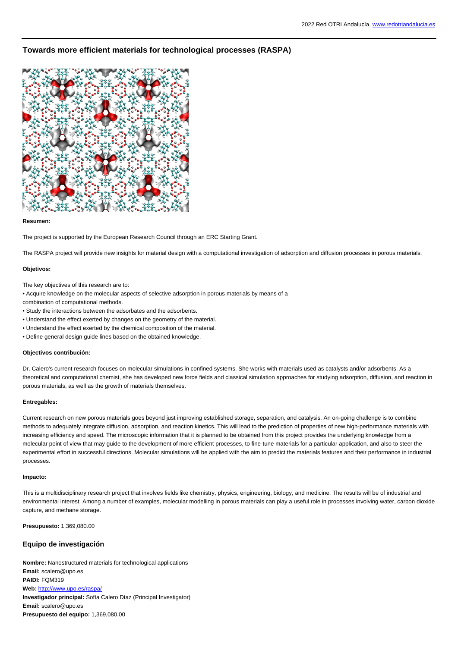# **Towards more efficient materials for technological processes (RASPA)**



### **Resumen:**

The project is supported by the European Research Council through an ERC Starting Grant.

The RASPA project will provide new insights for material design with a computational investigation of adsorption and diffusion processes in porous materials.

### **Objetivos:**

The key objectives of this research are to:

• Acquire knowledge on the molecular aspects of selective adsorption in porous materials by means of a

combination of computational methods.

- Study the interactions between the adsorbates and the adsorbents.
- Understand the effect exerted by changes on the geometry of the material.
- Understand the effect exerted by the chemical composition of the material.
- Define general design guide lines based on the obtained knowledge.

#### **Objectivos contribución:**

Dr. Calero's current research focuses on molecular simulations in confined systems. She works with materials used as catalysts and/or adsorbents. As a theoretical and computational chemist, she has developed new force fields and classical simulation approaches for studying adsorption, diffusion, and reaction in porous materials, as well as the growth of materials themselves.

## **Entregables:**

Current research on new porous materials goes beyond just improving established storage, separation, and catalysis. An on-going challenge is to combine methods to adequately integrate diffusion, adsorption, and reaction kinetics. This will lead to the prediction of properties of new high-performance materials with increasing efficiency and speed. The microscopic information that it is planned to be obtained from this project provides the underlying knowledge from a molecular point of view that may guide to the development of more efficient processes, to fine-tune materials for a particular application, and also to steer the experimental effort in successful directions. Molecular simulations will be applied with the aim to predict the materials features and their performance in industrial processes.

### **Impacto:**

This is a multidisciplinary research project that involves fields like chemistry, physics, engineering, biology, and medicine. The results will be of industrial and environmental interest. Among a number of examples, molecular modelling in porous materials can play a useful role in processes involving water, carbon dioxide capture, and methane storage.

**Presupuesto:** 1,369,080.00

# **Equipo de investigación**

**Nombre:** Nanostructured materials for technological applications **Email:** scalero@upo.es **PAIDI:** FQM319 **Web:** <http://www.upo.es/raspa/> **Investigador principal:** Sofía Calero Díaz (Principal Investigator) **Email:** scalero@upo.es **Presupuesto del equipo:** 1,369,080.00